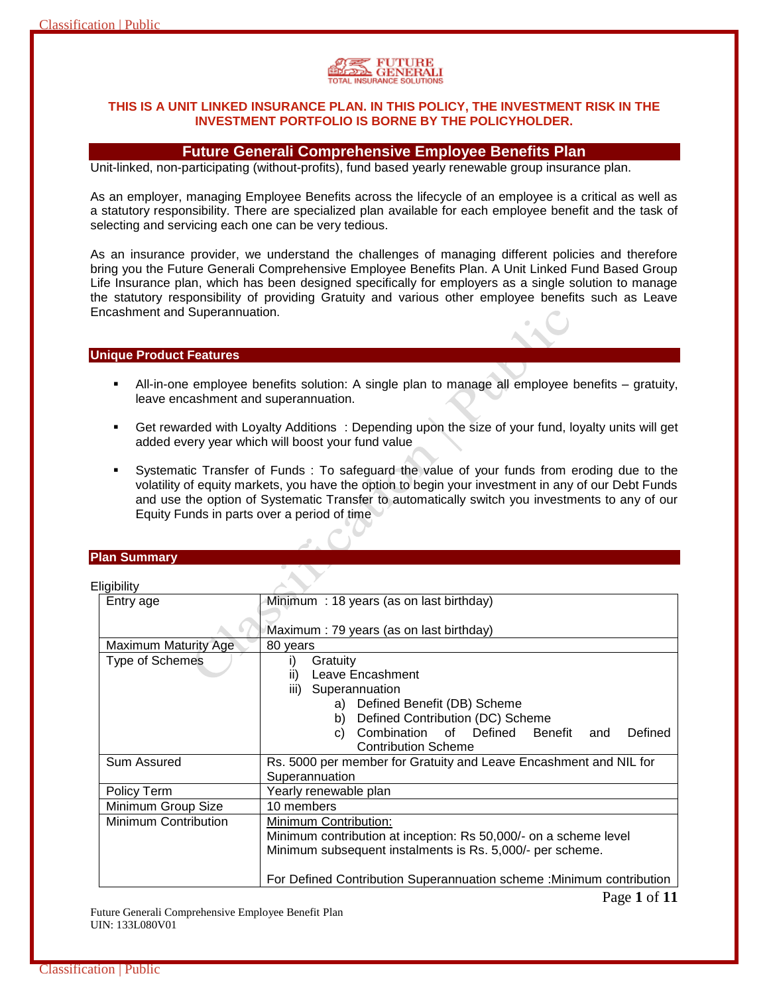# **THIS IS A UNIT LINKED INSURANCE PLAN. IN THIS POLICY, THE INVESTMENT RISK IN THE INVESTMENT PORTFOLIO IS BORNE BY THE POLICYHOLDER.**

# **Future Generali Comprehensive Employee Benefits Plan**

Unit-linked, non-participating (without-profits), fund based yearly renewable group insurance plan.

As an employer, managing Employee Benefits across the lifecycle of an employee is a critical as well as a statutory responsibility. There are specialized plan available for each employee benefit and the task of selecting and servicing each one can be very tedious.

As an insurance provider, we understand the challenges of managing different policies and therefore bring you the Future Generali Comprehensive Employee Benefits Plan. A Unit Linked Fund Based Group Life Insurance plan, which has been designed specifically for employers as a single solution to manage the statutory responsibility of providing Gratuity and various other employee benefits such as Leave Encashment and Superannuation.

# **Unique Product Features**

- All-in-one employee benefits solution: A single plan to manage all employee benefits gratuity, leave encashment and superannuation.
- Get rewarded with Loyalty Additions : Depending upon the size of your fund, loyalty units will get added every year which will boost your fund value
- Systematic Transfer of Funds : To safeguard the value of your funds from eroding due to the volatility of equity markets, you have the option to begin your investment in any of our Debt Funds and use the option of Systematic Transfer to automatically switch you investments to any of our Equity Funds in parts over a period of time

#### **Plan Summary**

|  |  | Eligibility |  |
|--|--|-------------|--|
|  |  |             |  |

| -ngivinty              |                                                                      |  |  |
|------------------------|----------------------------------------------------------------------|--|--|
| Entry age              | Minimum: 18 years (as on last birthday)                              |  |  |
|                        |                                                                      |  |  |
|                        | Maximum : 79 years (as on last birthday)                             |  |  |
| Maximum Maturity Age   | 80 years                                                             |  |  |
| <b>Type of Schemes</b> | Gratuity<br>i)                                                       |  |  |
|                        | Leave Encashment<br>ii)                                              |  |  |
|                        | iii) Superannuation                                                  |  |  |
|                        | Defined Benefit (DB) Scheme<br>a)                                    |  |  |
|                        | Defined Contribution (DC) Scheme<br>b)                               |  |  |
|                        | Combination of Defined<br>Benefit<br>Defined<br>and<br>C)            |  |  |
|                        | <b>Contribution Scheme</b>                                           |  |  |
| Sum Assured            | Rs. 5000 per member for Gratuity and Leave Encashment and NIL for    |  |  |
|                        | Superannuation                                                       |  |  |
| Policy Term            | Yearly renewable plan                                                |  |  |
| Minimum Group Size     | 10 members                                                           |  |  |
| Minimum Contribution   | Minimum Contribution:                                                |  |  |
|                        | Minimum contribution at inception: Rs 50,000/- on a scheme level     |  |  |
|                        | Minimum subsequent instalments is Rs. 5,000/- per scheme.            |  |  |
|                        |                                                                      |  |  |
|                        | For Defined Contribution Superannuation scheme: Minimum contribution |  |  |

Future Generali Comprehensive Employee Benefit Plan UIN: 133L080V01

Page **1** of **11**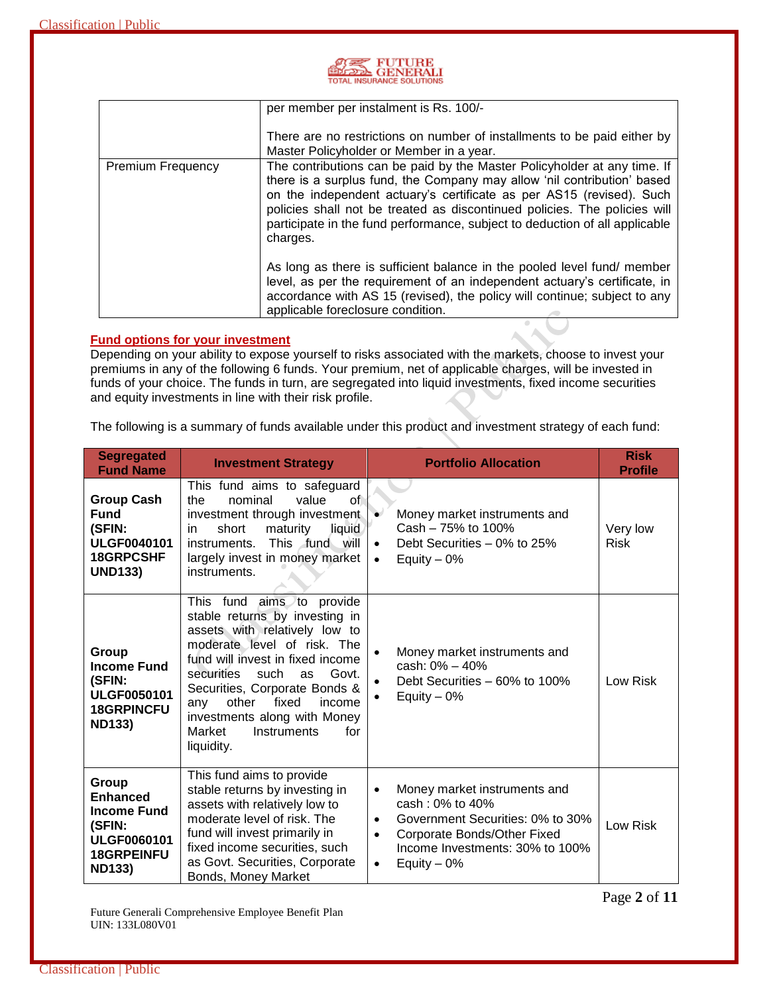| <b>AREA</b> FUTURE        |
|---------------------------|
| TOTAL INSURANCE SOLUTIONS |

|                          | per member per instalment is Rs. 100/-                                                                                                                                                                                                                                                                                                                                                              |
|--------------------------|-----------------------------------------------------------------------------------------------------------------------------------------------------------------------------------------------------------------------------------------------------------------------------------------------------------------------------------------------------------------------------------------------------|
|                          | There are no restrictions on number of installments to be paid either by<br>Master Policyholder or Member in a year.                                                                                                                                                                                                                                                                                |
| <b>Premium Frequency</b> | The contributions can be paid by the Master Policyholder at any time. If<br>there is a surplus fund, the Company may allow 'nil contribution' based<br>on the independent actuary's certificate as per AS15 (revised). Such<br>policies shall not be treated as discontinued policies. The policies will<br>participate in the fund performance, subject to deduction of all applicable<br>charges. |
|                          | As long as there is sufficient balance in the pooled level fund/ member<br>level, as per the requirement of an independent actuary's certificate, in<br>accordance with AS 15 (revised), the policy will continue; subject to any<br>applicable foreclosure condition.                                                                                                                              |

#### **Fund options for your investment**

Depending on your ability to expose yourself to risks associated with the markets, choose to invest your premiums in any of the following 6 funds. Your premium, net of applicable charges, will be invested in funds of your choice. The funds in turn, are segregated into liquid investments, fixed income securities and equity investments in line with their risk profile.

The following is a summary of funds available under this product and investment strategy of each fund:

| <b>Segregated</b><br><b>Fund Name</b>                                                                                | <b>Investment Strategy</b>                                                                                                                                                                                                                                                                                                                             | <b>Portfolio Allocation</b>                                                                                                                                                                                                | <b>Risk</b><br><b>Profile</b> |
|----------------------------------------------------------------------------------------------------------------------|--------------------------------------------------------------------------------------------------------------------------------------------------------------------------------------------------------------------------------------------------------------------------------------------------------------------------------------------------------|----------------------------------------------------------------------------------------------------------------------------------------------------------------------------------------------------------------------------|-------------------------------|
| <b>Group Cash</b><br><b>Fund</b><br>(SFIN:<br><b>ULGF0040101</b><br>18GRPCSHF<br><b>UND133)</b>                      | This fund aims to safeguard<br>of<br>the<br>nominal<br>value<br>investment through investment<br>short<br>maturity<br>liquid<br>in<br>This fund will<br>instruments.<br>largely invest in money market<br>instruments.                                                                                                                                 | Money market instruments and<br>Cash - 75% to 100%<br>Debt Securities - 0% to 25%<br>$\bullet$<br>Equity $-0\%$                                                                                                            | Very low<br><b>Risk</b>       |
| Group<br><b>Income Fund</b><br>(SFIN:<br><b>ULGF0050101</b><br><b>18GRPINCFU</b><br><b>ND133)</b>                    | This fund aims to provide<br>stable returns by investing in<br>assets with relatively low to<br>moderate level of risk. The<br>fund will invest in fixed income<br>securities<br>such<br>Govt.<br>as<br>Securities, Corporate Bonds &<br>fixed<br>other<br>income<br>any<br>investments along with Money<br>Market<br>Instruments<br>for<br>liquidity. | Money market instruments and<br>cash: 0% - 40%<br>Debt Securities - 60% to 100%<br>Equity $-0\%$                                                                                                                           | Low Risk                      |
| Group<br><b>Enhanced</b><br><b>Income Fund</b><br>(SFIN:<br><b>ULGF0060101</b><br><b>18GRPEINFU</b><br><b>ND133)</b> | This fund aims to provide<br>stable returns by investing in<br>assets with relatively low to<br>moderate level of risk. The<br>fund will invest primarily in<br>fixed income securities, such<br>as Govt. Securities, Corporate<br>Bonds, Money Market                                                                                                 | Money market instruments and<br>$\bullet$<br>cash: 0% to 40%<br>Government Securities: 0% to 30%<br>$\bullet$<br>Corporate Bonds/Other Fixed<br>$\bullet$<br>Income Investments: 30% to 100%<br>Equity $-0\%$<br>$\bullet$ | Low Risk                      |

Future Generali Comprehensive Employee Benefit Plan UIN: 133L080V01

Page **2** of **11**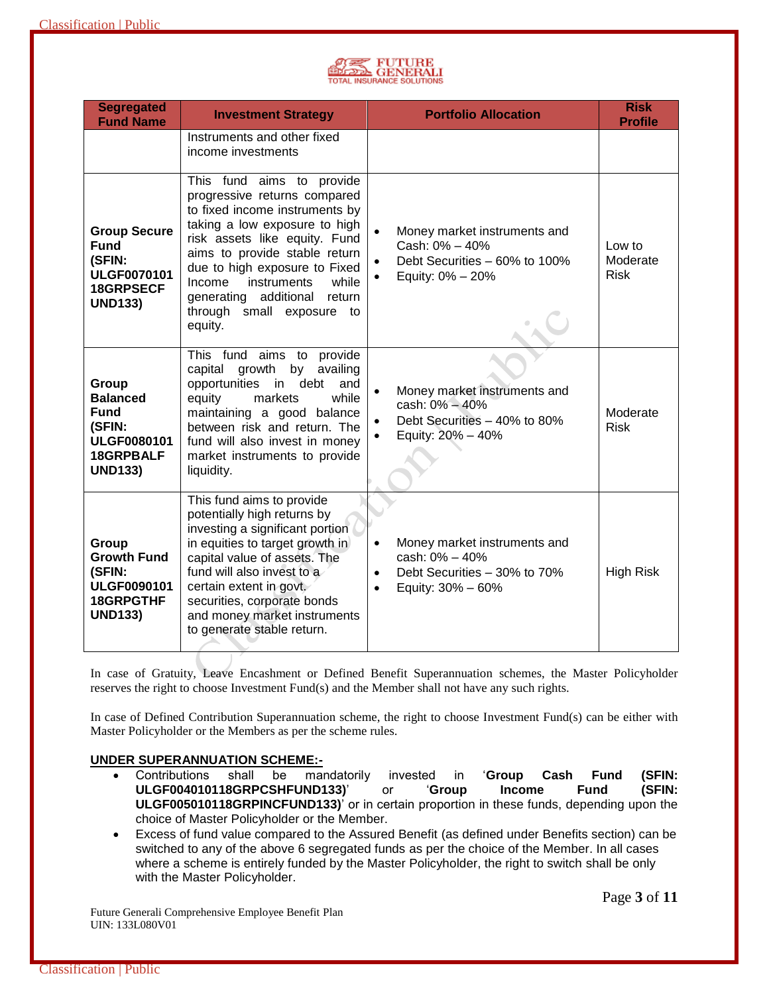

| <b>Segregated</b><br><b>Fund Name</b>                                                                         | <b>Investment Strategy</b>                                                                                                                                                                                                                                                                                                                      | <b>Portfolio Allocation</b>                                                                                                                | <b>Risk</b><br><b>Profile</b>     |
|---------------------------------------------------------------------------------------------------------------|-------------------------------------------------------------------------------------------------------------------------------------------------------------------------------------------------------------------------------------------------------------------------------------------------------------------------------------------------|--------------------------------------------------------------------------------------------------------------------------------------------|-----------------------------------|
|                                                                                                               | Instruments and other fixed<br>income investments                                                                                                                                                                                                                                                                                               |                                                                                                                                            |                                   |
| <b>Group Secure</b><br><b>Fund</b><br>(SFIN:<br><b>ULGF0070101</b><br>18GRPSECF<br><b>UND133)</b>             | This fund aims to provide<br>progressive returns compared<br>to fixed income instruments by<br>taking a low exposure to high<br>risk assets like equity. Fund<br>aims to provide stable return<br>due to high exposure to Fixed<br>instruments<br>Income<br>while<br>additional<br>return<br>generating<br>through small exposure to<br>equity. | Money market instruments and<br>Cash: 0% - 40%<br>Debt Securities - 60% to 100%<br>Equity: 0% - 20%                                        | Low to<br>Moderate<br><b>Risk</b> |
| Group<br><b>Balanced</b><br><b>Fund</b><br>(SFIN:<br><b>ULGF0080101</b><br><b>18GRPBALF</b><br><b>UND133)</b> | This fund aims to provide<br>capital<br>growth<br>by<br>availing<br>debt<br>opportunities<br>and<br>in<br>markets<br>while<br>equity<br>maintaining a good balance<br>between risk and return. The<br>fund will also invest in money<br>market instruments to provide<br>liquidity.                                                             | Money market instruments and<br>cash: 0% - 40%<br>Debt Securities - 40% to 80%<br>Equity: 20% - 40%                                        | Moderate<br><b>Risk</b>           |
| <b>Group</b><br><b>Growth Fund</b><br>(SFIN:<br><b>ULGF0090101</b><br>18GRPGTHF<br><b>UND133)</b>             | This fund aims to provide<br>potentially high returns by<br>investing a significant portion<br>in equities to target growth in<br>capital value of assets. The<br>fund will also invest to a<br>certain extent in govt.<br>securities, corporate bonds<br>and money market instruments<br>to generate stable return.                            | Money market instruments and<br>$\bullet$<br>cash: 0% - 40%<br>Debt Securities - 30% to 70%<br>$\bullet$<br>Equity: 30% - 60%<br>$\bullet$ | <b>High Risk</b>                  |

In case of Gratuity, Leave Encashment or Defined Benefit Superannuation schemes, the Master Policyholder reserves the right to choose Investment Fund(s) and the Member shall not have any such rights.

In case of Defined Contribution Superannuation scheme, the right to choose Investment Fund(s) can be either with Master Policyholder or the Members as per the scheme rules.

# **UNDER SUPERANNUATION SCHEME:-**

- Contributions shall be mandatorily invested in '**Group Cash Fund (SFIN: ULGF004010118GRPCSHFUND133)**' or '**Group Income Fund (SFIN: ULGF005010118GRPINCFUND133)**' or in certain proportion in these funds, depending upon the choice of Master Policyholder or the Member.
- Excess of fund value compared to the Assured Benefit (as defined under Benefits section) can be switched to any of the above 6 segregated funds as per the choice of the Member. In all cases where a scheme is entirely funded by the Master Policyholder, the right to switch shall be only with the Master Policyholder.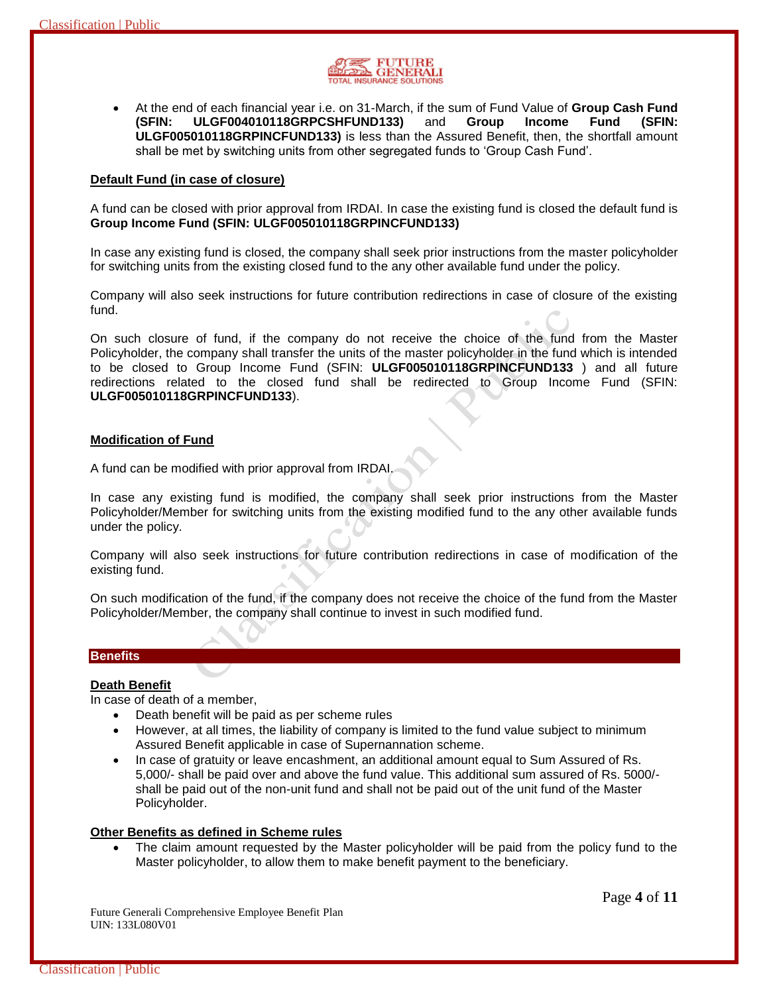

 At the end of each financial year i.e. on 31-March, if the sum of Fund Value of **Group Cash Fund (SFIN: ULGF004010118GRPCSHFUND133)** and **Group Income Fund (SFIN: ULGF005010118GRPINCFUND133)** is less than the Assured Benefit, then, the shortfall amount shall be met by switching units from other segregated funds to 'Group Cash Fund'.

#### **Default Fund (in case of closure)**

A fund can be closed with prior approval from IRDAI. In case the existing fund is closed the default fund is **Group Income Fund (SFIN: ULGF005010118GRPINCFUND133)**

In case any existing fund is closed, the company shall seek prior instructions from the master policyholder for switching units from the existing closed fund to the any other available fund under the policy.

Company will also seek instructions for future contribution redirections in case of closure of the existing fund.

On such closure of fund, if the company do not receive the choice of the fund from the Master Policyholder, the company shall transfer the units of the master policyholder in the fund which is intended to be closed to Group Income Fund (SFIN: **ULGF005010118GRPINCFUND133** ) and all future redirections related to the closed fund shall be redirected to Group Income Fund (SFIN: **ULGF005010118GRPINCFUND133**).

#### **Modification of Fund**

A fund can be modified with prior approval from IRDAI.

In case any existing fund is modified, the company shall seek prior instructions from the Master Policyholder/Member for switching units from the existing modified fund to the any other available funds under the policy.

Company will also seek instructions for future contribution redirections in case of modification of the existing fund.

On such modification of the fund, if the company does not receive the choice of the fund from the Master Policyholder/Member, the company shall continue to invest in such modified fund.

# **Benefits**

# **Death Benefit**

In case of death of a member,

- Death benefit will be paid as per scheme rules
- However, at all times, the liability of company is limited to the fund value subject to minimum Assured Benefit applicable in case of Supernannation scheme.
- In case of gratuity or leave encashment, an additional amount equal to Sum Assured of Rs. 5,000/- shall be paid over and above the fund value. This additional sum assured of Rs. 5000/ shall be paid out of the non-unit fund and shall not be paid out of the unit fund of the Master Policyholder.

#### **Other Benefits as defined in Scheme rules**

 The claim amount requested by the Master policyholder will be paid from the policy fund to the Master policyholder, to allow them to make benefit payment to the beneficiary.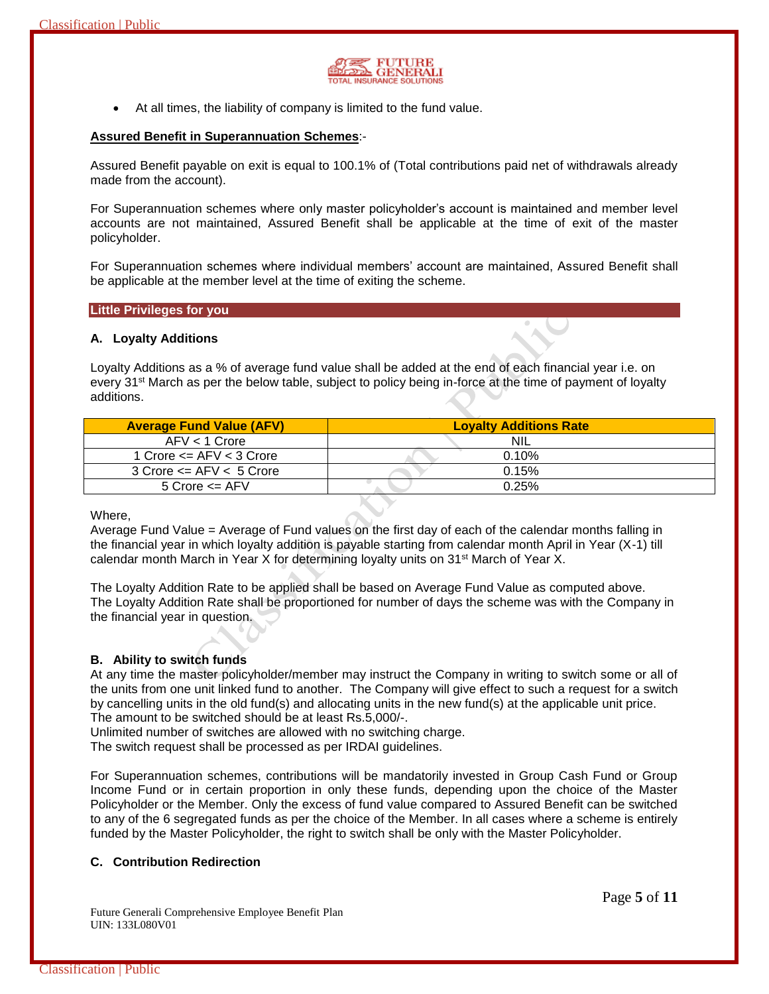

At all times, the liability of company is limited to the fund value.

#### **Assured Benefit in Superannuation Schemes**:-

Assured Benefit payable on exit is equal to 100.1% of (Total contributions paid net of withdrawals already made from the account).

For Superannuation schemes where only master policyholder's account is maintained and member level accounts are not maintained, Assured Benefit shall be applicable at the time of exit of the master policyholder.

For Superannuation schemes where individual members' account are maintained, Assured Benefit shall be applicable at the member level at the time of exiting the scheme.

#### **Little Privileges for you**

#### **A. Loyalty Additions**

Loyalty Additions as a % of average fund value shall be added at the end of each financial year i.e. on every 31<sup>st</sup> March as per the below table, subject to policy being in-force at the time of payment of loyalty additions.

| <b>Average Fund Value (AFV)</b>     | <b>Lovalty Additions Rate</b> |
|-------------------------------------|-------------------------------|
| $AFV < 1$ Crore                     | <b>NIL</b>                    |
| 1 Crore $\leq$ AFV $\lt$ 3 Crore    | 0.10%                         |
| $3$ Crore $\leq$ AFV $\leq$ 5 Crore | 0.15%                         |
| $5$ Crore $\leq$ AFV                | 0.25%                         |

Where,

Average Fund Value = Average of Fund values on the first day of each of the calendar months falling in the financial year in which loyalty addition is payable starting from calendar month April in Year (X-1) till calendar month March in Year X for determining loyalty units on 31st March of Year X.

The Loyalty Addition Rate to be applied shall be based on Average Fund Value as computed above. The Loyalty Addition Rate shall be proportioned for number of days the scheme was with the Company in the financial year in question.

# **B. Ability to switch funds**

At any time the master policyholder/member may instruct the Company in writing to switch some or all of the units from one unit linked fund to another. The Company will give effect to such a request for a switch by cancelling units in the old fund(s) and allocating units in the new fund(s) at the applicable unit price. The amount to be switched should be at least Rs.5,000/-.

Unlimited number of switches are allowed with no switching charge.

The switch request shall be processed as per IRDAI guidelines.

For Superannuation schemes, contributions will be mandatorily invested in Group Cash Fund or Group Income Fund or in certain proportion in only these funds, depending upon the choice of the Master Policyholder or the Member. Only the excess of fund value compared to Assured Benefit can be switched to any of the 6 segregated funds as per the choice of the Member. In all cases where a scheme is entirely funded by the Master Policyholder, the right to switch shall be only with the Master Policyholder.

# **C. Contribution Redirection**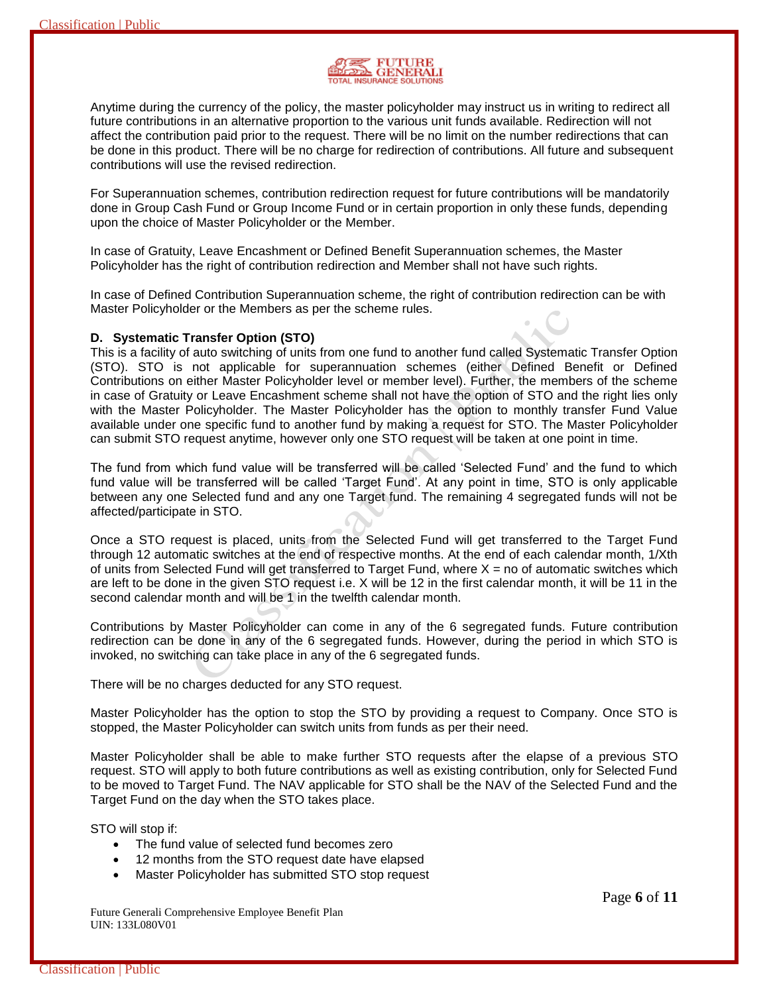

Anytime during the currency of the policy, the master policyholder may instruct us in writing to redirect all future contributions in an alternative proportion to the various unit funds available. Redirection will not affect the contribution paid prior to the request. There will be no limit on the number redirections that can be done in this product. There will be no charge for redirection of contributions. All future and subsequent contributions will use the revised redirection.

For Superannuation schemes, contribution redirection request for future contributions will be mandatorily done in Group Cash Fund or Group Income Fund or in certain proportion in only these funds, depending upon the choice of Master Policyholder or the Member.

In case of Gratuity, Leave Encashment or Defined Benefit Superannuation schemes, the Master Policyholder has the right of contribution redirection and Member shall not have such rights.

In case of Defined Contribution Superannuation scheme, the right of contribution redirection can be with Master Policyholder or the Members as per the scheme rules.

#### **D. Systematic Transfer Option (STO)**

This is a facility of auto switching of units from one fund to another fund called Systematic Transfer Option (STO). STO is not applicable for superannuation schemes (either Defined Benefit or Defined Contributions on either Master Policyholder level or member level). Further, the members of the scheme in case of Gratuity or Leave Encashment scheme shall not have the option of STO and the right lies only with the Master Policyholder. The Master Policyholder has the option to monthly transfer Fund Value available under one specific fund to another fund by making a request for STO. The Master Policyholder can submit STO request anytime, however only one STO request will be taken at one point in time.

The fund from which fund value will be transferred will be called 'Selected Fund' and the fund to which fund value will be transferred will be called 'Target Fund'. At any point in time, STO is only applicable between any one Selected fund and any one Target fund. The remaining 4 segregated funds will not be affected/participate in STO.

Once a STO request is placed, units from the Selected Fund will get transferred to the Target Fund through 12 automatic switches at the end of respective months. At the end of each calendar month, 1/Xth of units from Selected Fund will get transferred to Target Fund, where  $X =$  no of automatic switches which are left to be done in the given STO request i.e. X will be 12 in the first calendar month, it will be 11 in the second calendar month and will be 1 in the twelfth calendar month.

Contributions by Master Policyholder can come in any of the 6 segregated funds. Future contribution redirection can be done in any of the 6 segregated funds. However, during the period in which STO is invoked, no switching can take place in any of the 6 segregated funds.

There will be no charges deducted for any STO request.

Master Policyholder has the option to stop the STO by providing a request to Company. Once STO is stopped, the Master Policyholder can switch units from funds as per their need.

Master Policyholder shall be able to make further STO requests after the elapse of a previous STO request. STO will apply to both future contributions as well as existing contribution, only for Selected Fund to be moved to Target Fund. The NAV applicable for STO shall be the NAV of the Selected Fund and the Target Fund on the day when the STO takes place.

STO will stop if:

- The fund value of selected fund becomes zero
- 12 months from the STO request date have elapsed
- Master Policyholder has submitted STO stop request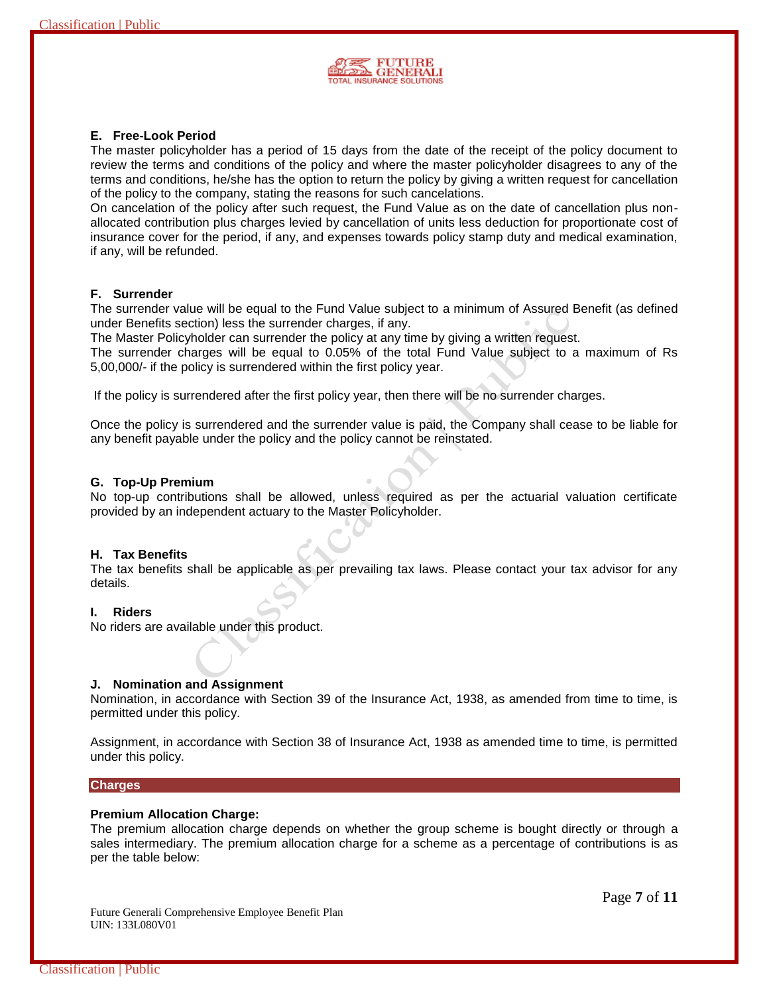

# **E. Free-Look Period**

The master policyholder has a period of 15 days from the date of the receipt of the policy document to review the terms and conditions of the policy and where the master policyholder disagrees to any of the terms and conditions, he/she has the option to return the policy by giving a written request for cancellation of the policy to the company, stating the reasons for such cancelations.

On cancelation of the policy after such request, the Fund Value as on the date of cancellation plus nonallocated contribution plus charges levied by cancellation of units less deduction for proportionate cost of insurance cover for the period, if any, and expenses towards policy stamp duty and medical examination, if any, will be refunded.

# **F. Surrender**

The surrender value will be equal to the Fund Value subject to a minimum of Assured Benefit (as defined under Benefits section) less the surrender charges, if any.

The Master Policyholder can surrender the policy at any time by giving a written request.

The surrender charges will be equal to 0.05% of the total Fund Value subject to a maximum of Rs 5,00,000/- if the policy is surrendered within the first policy year.

If the policy is surrendered after the first policy year, then there will be no surrender charges.

Once the policy is surrendered and the surrender value is paid, the Company shall cease to be liable for any benefit payable under the policy and the policy cannot be reinstated.

#### **G. Top-Up Premium**

No top-up contributions shall be allowed, unless required as per the actuarial valuation certificate provided by an independent actuary to the Master Policyholder.

# **H. Tax Benefits**

The tax benefits shall be applicable as per prevailing tax laws. Please contact your tax advisor for any details.

#### **I. Riders**

No riders are available under this product.

#### **J. Nomination and Assignment**

Nomination, in accordance with Section 39 of the Insurance Act, 1938, as amended from time to time, is permitted under this policy.

Assignment, in accordance with Section 38 of Insurance Act, 1938 as amended time to time, is permitted under this policy.

#### **Charges**

#### **Premium Allocation Charge:**

The premium allocation charge depends on whether the group scheme is bought directly or through a sales intermediary. The premium allocation charge for a scheme as a percentage of contributions is as per the table below:

Future Generali Comprehensive Employee Benefit Plan UIN: 133L080V01

Page **7** of **11**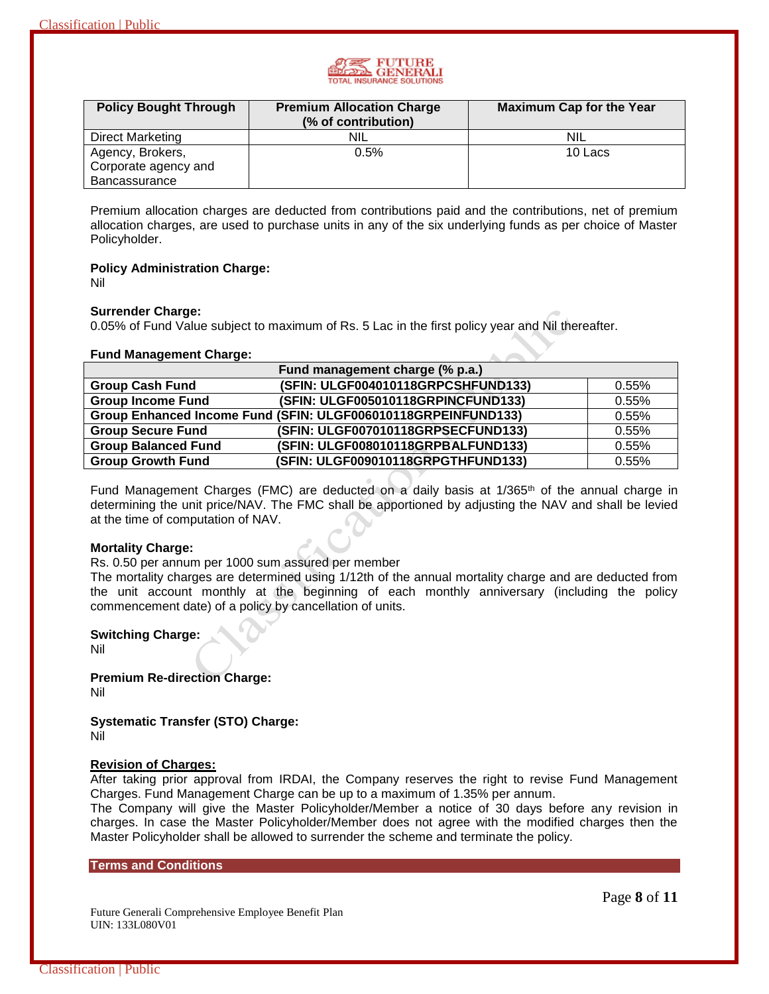

| <b>Policy Bought Through</b> | <b>Premium Allocation Charge</b><br>(% of contribution) | <b>Maximum Cap for the Year</b> |
|------------------------------|---------------------------------------------------------|---------------------------------|
| <b>Direct Marketing</b>      | nil                                                     | <b>NIL</b>                      |
| Agency, Brokers,             | $0.5\%$                                                 | 10 Lacs                         |
| Corporate agency and         |                                                         |                                 |
| <b>Bancassurance</b>         |                                                         |                                 |

Premium allocation charges are deducted from contributions paid and the contributions, net of premium allocation charges, are used to purchase units in any of the six underlying funds as per choice of Master Policyholder.

**Policy Administration Charge:**

Nil

# **Surrender Charge:**

0.05% of Fund Value subject to maximum of Rs. 5 Lac in the first policy year and Nil thereafter.

# **Fund Management Charge:**

|                            | Fund management charge (% p.a.)                               |       |
|----------------------------|---------------------------------------------------------------|-------|
| <b>Group Cash Fund</b>     | (SFIN: ULGF004010118GRPCSHFUND133)                            | 0.55% |
| <b>Group Income Fund</b>   | (SFIN: ULGF005010118GRPINCFUND133)                            | 0.55% |
|                            | Group Enhanced Income Fund (SFIN: ULGF006010118GRPEINFUND133) | 0.55% |
| <b>Group Secure Fund</b>   | (SFIN: ULGF007010118GRPSECFUND133)                            | 0.55% |
| <b>Group Balanced Fund</b> | (SFIN: ULGF008010118GRPBALFUND133)                            | 0.55% |
| <b>Group Growth Fund</b>   | (SFIN: ULGF009010118GRPGTHFUND133)                            | 0.55% |

Fund Management Charges (FMC) are deducted on a daily basis at 1/365<sup>th</sup> of the annual charge in determining the unit price/NAV. The FMC shall be apportioned by adjusting the NAV and shall be levied at the time of computation of NAV.

# **Mortality Charge:**

Rs. 0.50 per annum per 1000 sum assured per member

The mortality charges are determined using 1/12th of the annual mortality charge and are deducted from the unit account monthly at the beginning of each monthly anniversary (including the policy commencement date) of a policy by cancellation of units.

# **Switching Charge:**

Nil

**Premium Re-direction Charge:** Nil

**Systematic Transfer (STO) Charge:** Nil

# **Revision of Charges:**

After taking prior approval from IRDAI, the Company reserves the right to revise Fund Management Charges. Fund Management Charge can be up to a maximum of 1.35% per annum.

The Company will give the Master Policyholder/Member a notice of 30 days before any revision in charges. In case the Master Policyholder/Member does not agree with the modified charges then the Master Policyholder shall be allowed to surrender the scheme and terminate the policy.

**Terms and Conditions**

Future Generali Comprehensive Employee Benefit Plan UIN: 133L080V01

Page **8** of **11**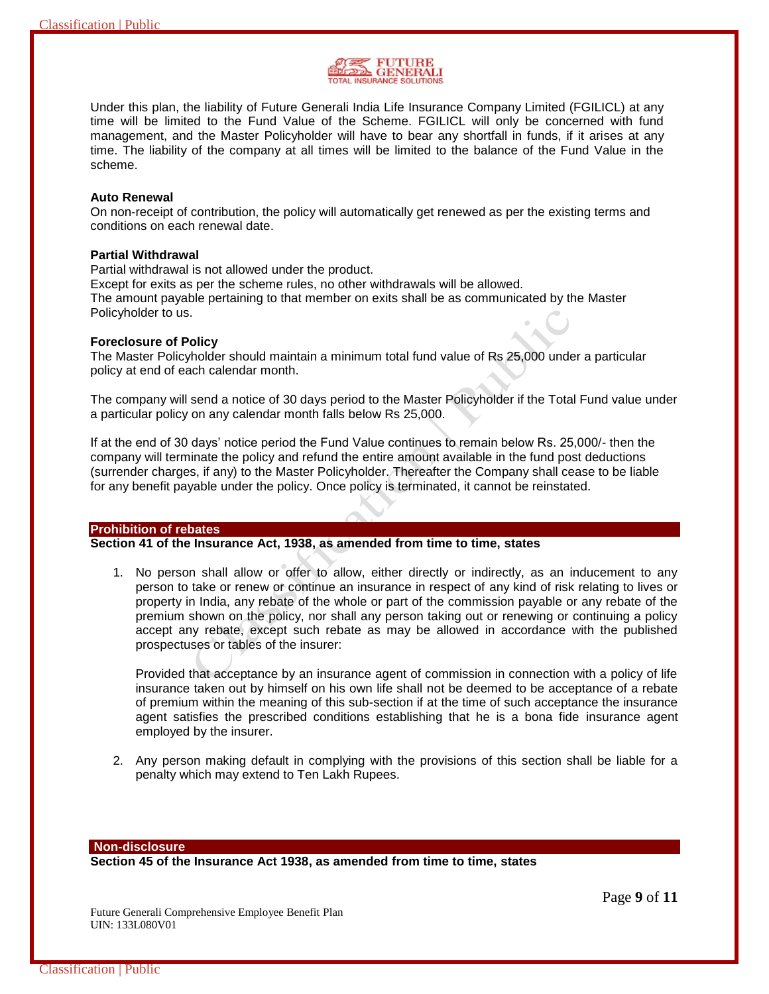

Under this plan, the liability of Future Generali India Life Insurance Company Limited (FGILICL) at any time will be limited to the Fund Value of the Scheme. FGILICL will only be concerned with fund management, and the Master Policyholder will have to bear any shortfall in funds, if it arises at any time. The liability of the company at all times will be limited to the balance of the Fund Value in the scheme.

#### **Auto Renewal**

On non-receipt of contribution, the policy will automatically get renewed as per the existing terms and conditions on each renewal date.

# **Partial Withdrawal**

Partial withdrawal is not allowed under the product.

Except for exits as per the scheme rules, no other withdrawals will be allowed.

The amount payable pertaining to that member on exits shall be as communicated by the Master Policyholder to us.

#### **Foreclosure of Policy**

The Master Policyholder should maintain a minimum total fund value of Rs 25,000 under a particular policy at end of each calendar month.

The company will send a notice of 30 days period to the Master Policyholder if the Total Fund value under a particular policy on any calendar month falls below Rs 25,000.

If at the end of 30 days' notice period the Fund Value continues to remain below Rs. 25,000/- then the company will terminate the policy and refund the entire amount available in the fund post deductions (surrender charges, if any) to the Master Policyholder. Thereafter the Company shall cease to be liable for any benefit payable under the policy. Once policy is terminated, it cannot be reinstated.

#### **Prohibition of rebates**

#### **Section 41 of the Insurance Act, 1938, as amended from time to time, states**

1. No person shall allow or offer to allow, either directly or indirectly, as an inducement to any person to take or renew or continue an insurance in respect of any kind of risk relating to lives or property in India, any rebate of the whole or part of the commission payable or any rebate of the premium shown on the policy, nor shall any person taking out or renewing or continuing a policy accept any rebate, except such rebate as may be allowed in accordance with the published prospectuses or tables of the insurer:

Provided that acceptance by an insurance agent of commission in connection with a policy of life insurance taken out by himself on his own life shall not be deemed to be acceptance of a rebate of premium within the meaning of this sub-section if at the time of such acceptance the insurance agent satisfies the prescribed conditions establishing that he is a bona fide insurance agent employed by the insurer.

2. Any person making default in complying with the provisions of this section shall be liable for a penalty which may extend to Ten Lakh Rupees.

**Non-disclosure**

**Section 45 of the Insurance Act 1938, as amended from time to time, states**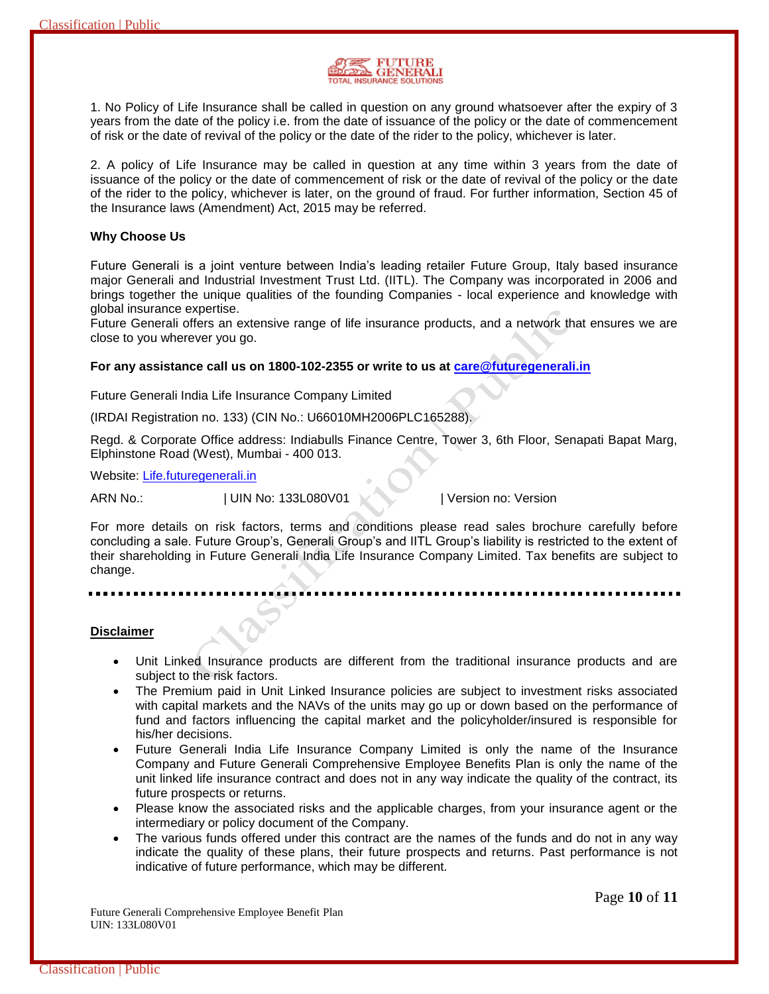

1. No Policy of Life Insurance shall be called in question on any ground whatsoever after the expiry of 3 years from the date of the policy i.e. from the date of issuance of the policy or the date of commencement of risk or the date of revival of the policy or the date of the rider to the policy, whichever is later.

2. A policy of Life Insurance may be called in question at any time within 3 years from the date of issuance of the policy or the date of commencement of risk or the date of revival of the policy or the date of the rider to the policy, whichever is later, on the ground of fraud. For further information, Section 45 of the Insurance laws (Amendment) Act, 2015 may be referred.

#### **Why Choose Us**

Future Generali is a joint venture between India's leading retailer Future Group, Italy based insurance major Generali and Industrial Investment Trust Ltd. (IITL). The Company was incorporated in 2006 and brings together the unique qualities of the founding Companies - local experience and knowledge with global insurance expertise.

Future Generali offers an extensive range of life insurance products, and a network that ensures we are close to you wherever you go.

# **For any assistance call us on 1800-102-2355 or write to us at [care@futuregenerali.in](mailto:care@futuregenerali.in)**

Future Generali India Life Insurance Company Limited

(IRDAI Registration no. 133) (CIN No.: U66010MH2006PLC165288).

Regd. & Corporate Office address: Indiabulls Finance Centre, Tower 3, 6th Floor, Senapati Bapat Marg, Elphinstone Road (West), Mumbai - 400 013.

Website: [Life.futuregenerali.in](http://www.futuregenerali.in/)

ARN No.:  $|$  UIN No: 133L080V01  $\sim$  | Version no: Version

For more details on risk factors, terms and conditions please read sales brochure carefully before concluding a sale. Future Group's, Generali Group's and IITL Group's liability is restricted to the extent of their shareholding in Future Generali India Life Insurance Company Limited. Tax benefits are subject to change.

#### **Disclaimer**

- Unit Linked Insurance products are different from the traditional insurance products and are subject to the risk factors.
- The Premium paid in Unit Linked Insurance policies are subject to investment risks associated with capital markets and the NAVs of the units may go up or down based on the performance of fund and factors influencing the capital market and the policyholder/insured is responsible for his/her decisions.
- Future Generali India Life Insurance Company Limited is only the name of the Insurance Company and Future Generali Comprehensive Employee Benefits Plan is only the name of the unit linked life insurance contract and does not in any way indicate the quality of the contract, its future prospects or returns.
- Please know the associated risks and the applicable charges, from your insurance agent or the intermediary or policy document of the Company.
- The various funds offered under this contract are the names of the funds and do not in any way indicate the quality of these plans, their future prospects and returns. Past performance is not indicative of future performance, which may be different.